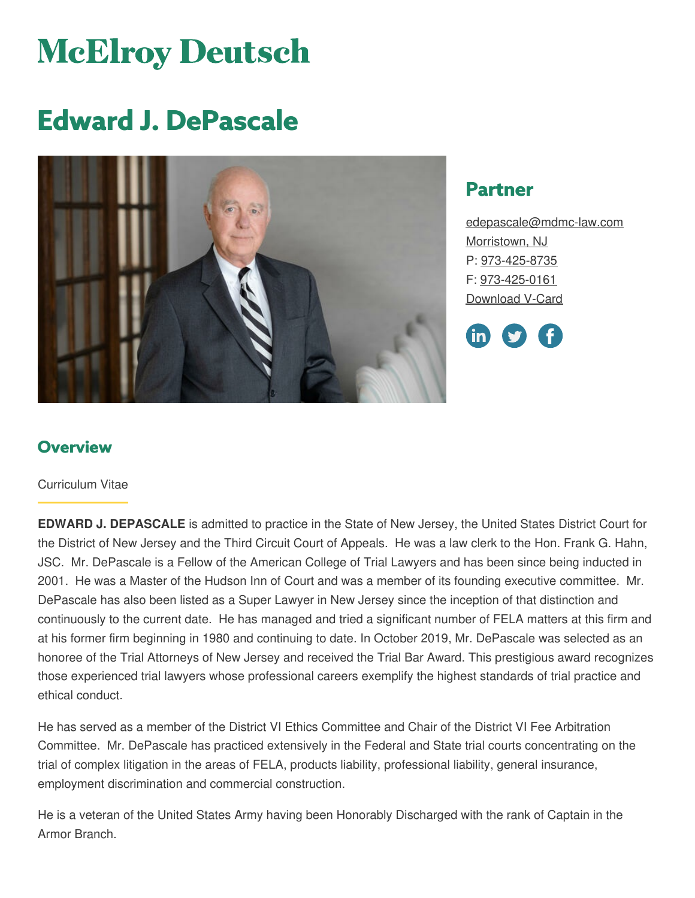# **McElroy Deutsch**

# **Edward J. DePascale**



## **Partner**

[edepascale@mdmc-law.com](mailto:edepascale@mdmc-law.com) [Morristown,](https://www.mdmc-law.com/offices/morristown) NJ P: [973-425-8735](tel:973-425-8735) F: [973-425-0161](tel:973-425-0161) [Download](https://www.mdmc-law.com/node/193/vcard) V-Card



### **Overview**

#### Curriculum Vitae

**EDWARD J. DEPASCALE** is admitted to practice in the State of New Jersey, the United States District Court for the District of New Jersey and the Third Circuit Court of Appeals. He was a law clerk to the Hon. Frank G. Hahn, JSC. Mr. DePascale is a Fellow of the American College of Trial Lawyers and has been since being inducted in 2001. He was a Master of the Hudson Inn of Court and was a member of its founding executive committee. Mr. DePascale has also been listed as a Super Lawyer in New Jersey since the inception of that distinction and continuously to the current date. He has managed and tried a significant number of FELA matters at this firm and at his former firm beginning in 1980 and continuing to date. In October 2019, Mr. DePascale was selected as an honoree of the Trial Attorneys of New Jersey and received the Trial Bar Award. This prestigious award recognizes those experienced trial lawyers whose professional careers exemplify the highest standards of trial practice and ethical conduct.

He has served as a member of the District VI Ethics Committee and Chair of the District VI Fee Arbitration Committee. Mr. DePascale has practiced extensively in the Federal and State trial courts concentrating on the trial of complex litigation in the areas of FELA, products liability, professional liability, general insurance, employment discrimination and commercial construction.

He is a veteran of the United States Army having been Honorably Discharged with the rank of Captain in the Armor Branch.